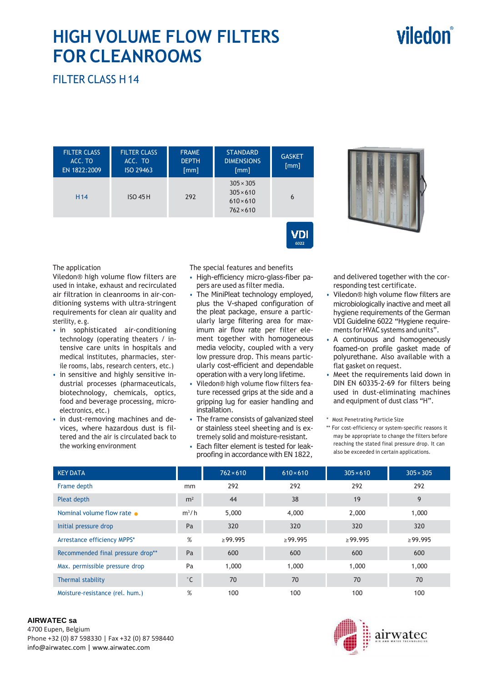# viledon

# **HIGH VOLUME FLOW FILTERS FOR CLEANROOMS**

FILTER CLASS H 14

| <b>FILTER CLASS</b><br>ACC. TO<br>EN 1822:2009 | <b>FILTER CLASS</b><br>ACC. TO<br>ISO 29463 | <b>FRAME</b><br><b>DEPTH</b><br>[mm] | <b>STANDARD</b><br><b>DIMENSIONS</b><br>[mm]                                 | <b>GASKET</b><br>[mm] |  |
|------------------------------------------------|---------------------------------------------|--------------------------------------|------------------------------------------------------------------------------|-----------------------|--|
| H <sub>14</sub><br>$ISO$ 45 H                  |                                             | 292                                  | $305 \times 305$<br>$305 \times 610$<br>$610 \times 610$<br>$762 \times 610$ | 6                     |  |



The application

Viledon® high volume flow filters are used in intake, exhaust and recirculated air filtration in cleanrooms in air-conditioning systems with ultra-stringent requirements for clean air quality and sterility, e. g.

- in sophisticated air-conditioning technology (operating theaters / intensive care units in hospitals and medical institutes, pharmacies, sterile rooms, labs, research centers, etc.)
- in sensitive and highly sensitive industrial processes (pharmaceuticals, biotechnology, chemicals, optics, food and beverage processing, microelectronics, etc.)
- in dust-removing machines and devices, where hazardous dust is filtered and the air is circulated back to the working environment

The special features and benefits

• High-efficiency micro-glass-fiber papers are used as filter media.

VDI

- The MiniPleat technology employed, plus the V-shaped configuration of the pleat package, ensure a particularly large filtering area for maximum air flow rate per filter element together with homogeneous media velocity, coupled with a very low pressure drop. This means particularly cost-efficient and dependable operation with a very long lifetime.
- Viledon® high volume flow filters feature recessed grips at the side and a gripping lug for easier handling and installation.
- The frame consists of galvanized steel or stainless steel sheeting and is extremely solid and moisture-resistant.
- Each filter element is tested for leakproofing in accordance with EN 1822,

and delivered together with the corresponding test certificate.

- Viledon® high volume flow filters are microbiologically inactive and meet all hygiene requirements of the German VDI Guideline 6022 "Hygiene requirements for HVAC systems and units".
- A continuous and homogeneously foamed-on profile gasket made of polyurethane. Also available with a flat gasket on request.
- Meet the requirements laid down in DIN EN 60335-2-69 for filters being used in dust-eliminating machines and equipment of dust class "H".
- \* Most Penetrating Particle Size
- \*\* For cost-efficiency or system-specific reasons it may be appropriate to change the filters before reaching the stated final pressure drop. It can also be exceeded in certain applications.

| <b>KEY DATA</b>                   |                | $762 \times 610$ | $610\times610$ | $305 \times 610$ | $305 \times 305$ |
|-----------------------------------|----------------|------------------|----------------|------------------|------------------|
| Frame depth                       | mm             | 292              | 292            | 292              | 292              |
| Pleat depth                       | m <sup>2</sup> | 44               | 38             | 19               | 9                |
| Nominal volume flow rate          | $m^3/h$        | 5,000            | 4,000          | 2,000            | 1,000            |
| Initial pressure drop             | Pa             | 320              | 320            | 320              | 320              |
| Arrestance efficiency MPPS*       | %              | $\geq$ 99.995    | >99.995        | >99.995          | $\geq$ 99.995    |
| Recommended final pressure drop** | Pa             | 600              | 600            | 600              | 600              |
| Max. permissible pressure drop    | Pa             | 1,000            | 1,000          | 1,000            | 1,000            |
| Thermal stability                 | $^{\circ}$ C   | 70               | 70             | 70               | 70               |
| Moisture-resistance (rel. hum.)   | %              | 100              | 100            | 100              | 100              |

#### **AIRWATEC sa**

4700 Eupen, Belgium Phone +32 (0) 87 598330 | Fax +32 (0) 87 598440 info@airwatec.com | www.airwatec.com